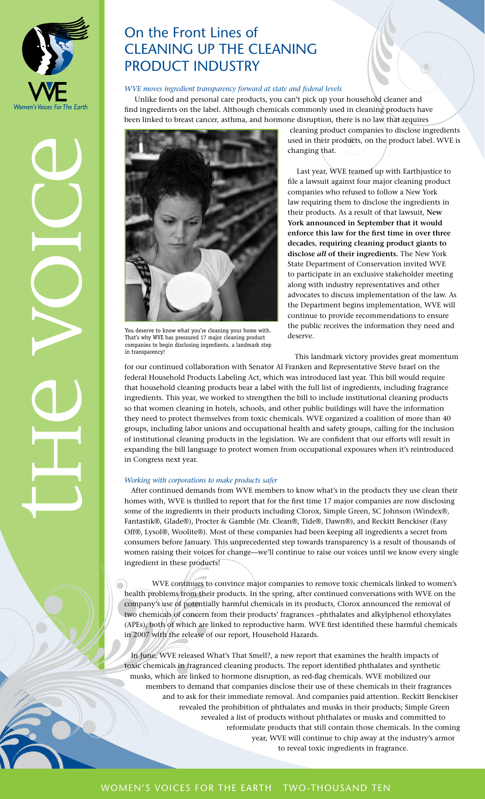

# On the Front Lines of Cleaning Up the Cleaning PRODUCT INDUSTRY

### *WVE moves ingredient transparency forward at state and federal levels*

Unlike food and personal care products, you can't pick up your household cleaner and find ingredients on the label. Although chemicals commonly used in cleaning products have been linked to breast cancer, asthma, and hormone disruption, there is no law that requires



You deserve to know what you're cleaning your home with. That's why WVE has pressured 17 major cleaning product companies to begin disclosing ingredients, a landmark step in transparency!

 cleaning product companies to disclose ingredients used in their products, on the product label. WVE is changing that.

 Last year, WVE teamed up with Earthjustice to file a lawsuit against four major cleaning product companies who refused to follow a New York law requiring them to disclose the ingredients in their products. As a result of that lawsuit, **New York announced in September that it would enforce this law for the first time in over three decades, requiring cleaning product giants to disclose** *all* **of their ingredients.** The New York State Department of Conservation invited WVE to participate in an exclusive stakeholder meeting along with industry representatives and other advocates to discuss implementation of the law. As the Department begins implementation, WVE will continue to provide recommendations to ensure the public receives the information they need and deserve.

This landmark victory provides great momentum for our continued collaboration with Senator Al Franken and Representative Steve Israel on the federal Household Products Labeling Act, which was introduced last year. This bill would require that household cleaning products bear a label with the full list of ingredients, including fragrance ingredients. This year, we worked to strengthen the bill to include institutional cleaning products so that women cleaning in hotels, schools, and other public buildings will have the information they need to protect themselves from toxic chemicals. WVE organized a coalition of more than 40 groups, including labor unions and occupational health and safety groups, calling for the inclusion of institutional cleaning products in the legislation. We are confident that our efforts will result in expanding the bill language to protect women from occupational exposures when it's reintroduced in Congress next year.

#### *Working with corporations to make products safer*

After continued demands from WVE members to know what's in the products they use clean their homes with, WVE is thrilled to report that for the first time 17 major companies are now disclosing some of the ingredients in their products including Clorox, Simple Green, SC Johnson (Windex®, Fantastik®, Glade®), Procter & Gamble (Mr. Clean®, Tide®, Dawn®), and Reckitt Benckiser (Easy Off®, Lysol®, Woolite®). Most of these companies had been keeping all ingredients a secret from consumers before January. This unprecedented step towards transparency is a result of thousands of women raising their voices for change—we'll continue to raise our voices until we know every single ingredient in these products!

 WVE continues to convince major companies to remove toxic chemicals linked to women's health problems from their products. In the spring, after continued conversations with WVE on the company's use of potentially harmful chemicals in its products, Clorox announced the removal of two chemicals of concern from their products' fragrances –phthalates and alkylphenol ethoxylates (APEs), both of which are linked to reproductive harm. WVE first identified these harmful chemicals in 2007 with the release of our report, Household Hazards.

In June, WVE released What's That Smell?, a new report that examines the health impacts of toxic chemicals in fragranced cleaning products. The report identified phthalates and synthetic musks, which are linked to hormone disruption, as red-flag chemicals. WVE mobilized our members to demand that companies disclose their use of these chemicals in their fragrances and to ask for their immediate removal. And companies paid attention. Reckitt Benckiser revealed the prohibition of phthalates and musks in their products; Simple Green revealed a list of products without phthalates or musks and committed to reformulate products that still contain those chemicals. In the coming year, WVE will continue to chip away at the industry's armor to reveal toxic ingredients in fragrance.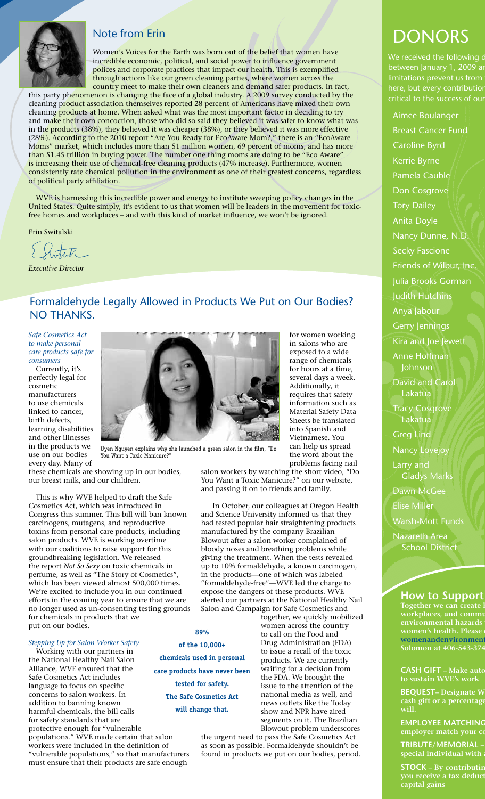# Note from Erin

Women's Voices for the Earth was born out of the belief that women have incredible economic, political, and social power to influence government polices and corporate practices that impact our health. This is exemplified through actions like our green cleaning parties, where women across the country meet to make their own cleaners and demand safer products. In fact,

this party phenomenon is changing the face of a global industry. A 2009 survey conducted by the cleaning product association themselves reported 28 percent of Americans have mixed their own cleaning products at home. When asked what was the most important factor in deciding to try and make their own concoction, those who did so said they believed it was safer to know what was in the products (38%), they believed it was cheaper (38%), or they believed it was more effective (28%). According to the 2010 report "Are You Ready for EcoAware Mom?," there is an "EcoAware Moms" market, which includes more than 51 million women, 69 percent of moms, and has more than \$1.45 trillion in buying power. The number one thing moms are doing to be "Eco Aware" is increasing their use of chemical-free cleaning products (47% increase). Furthermore, women consistently rate chemical pollution in the environment as one of their greatest concerns, regardless of political party affiliation.

WVE is harnessing this incredible power and energy to institute sweeping policy changes in the United States. Quite simply, it's evident to us that women will be leaders in the movement for toxicfree homes and workplaces – and with this kind of market influence, we won't be ignored.

Erin Switalski

Swhite

*Executive Director*

# Formaldehyde Legally Allowed in Products We Put on Our Bodies? No Thanks.

*Safe Cosmetics Act to make personal care products safe for consumers*

Currently, it's perfectly legal for cosmetic manufacturers to use chemicals linked to cancer, birth defects, learning disabilities and other illnesses in the products we use on our bodies every day. Many of



Uyen Nguyen explains why she launched a green salon in the film, "Do You Want a Toxic Manicure?

these chemicals are showing up in our bodies, our breast milk, and our children.

This is why WVE helped to draft the Safe Cosmetics Act, which was introduced in Congress this summer. This bill will ban known carcinogens, mutagens, and reproductive toxins from personal care products, including salon products. WVE is working overtime with our coalitions to raise support for this groundbreaking legislation. We released the report *Not So Sexy* on toxic chemicals in perfume, as well as "The Story of Cosmetics", which has been viewed almost 500,000 times. We're excited to include you in our continued efforts in the coming year to ensure that we are no longer used as un-consenting testing grounds for chemicals in products that we put on our bodies.

# *Stepping Up for Salon Worker Safety*

Working with our partners in the National Healthy Nail Salon Alliance, WVE ensured that the Safe Cosmetics Act includes language to focus on specific concerns to salon workers. In addition to banning known harmful chemicals, the bill calls for safety standards that are protective enough for "vulnerable populations." WVE made certain that salon workers were included in the definition of "vulnerable populations," so that manufacturers

must ensure that their products are safe enough

**of the 10,000+ care products have never been tested for safety. will change that.**

together, we quickly mobilized women across the country to call on the Food and Drug Administration (FDA) to issue a recall of the toxic products. We are currently waiting for a decision from the FDA. We brought the issue to the attention of the national media as well, and news outlets like the Today show and NPR have aired segments on it. The Brazilian Blowout problem underscores

the urgent need to pass the Safe Cosmetics Act as soon as possible. Formaldehyde shouldn't be found in products we put on our bodies, period.

# DONORS

We received the following of between January 1, 2009 and limitations prevent us from here, but every contributior critical to the success of our

Aimee Boulanger

**How to Support Together we can create l workplaces, and community environmental hazards women's health. Please** womenandenvironment **Solomon at 406-543-374 CASH GIFT** – Make auto **to sustain WVE's work** Breast Cancer Fund Caroline Byrd Kerrie Byrne Pamela Cauble Don Cosgrove Tory Dailey Anita Doyle Nancy Dunne, N.D. Secky Fascione Friends of Wilbur, Inc. Julia Brooks Gorman Judith Hutchins Anya Jabour Gerry Jennings Kira and Joe Jewett Anne Hoffman Johnson David and Carol Lakatua Tracy Cosgrove Lakatua Greg Lind Nancy Lovejoy Larry and Gladys Marks Dawn McGee Elise Miller Warsh-Mott Funds Nazareth Area School District

**BEQUEST- Designate W** cash gift or a percentage **will.**

**EMPLOYEE MATCHING employer match your co** 

 $TRIBUTE/MEMORIAL$ special individual with

**STOCK** – By contributin **you receive a tax deduct capital gains**

**chemicals used in personal The Safe Cosmetics Act** 

**89%** 

exposed to a wide range of chemicals for hours at a time, several days a week. Additionally, it requires that safety information such as Material Safety Data Sheets be translated into Spanish and Vietnamese. You can help us spread the word about the problems facing nail

for women working in salons who are

salon workers by watching the short video, "Do You Want a Toxic Manicure?" on our website, and passing it on to friends and family.

 In October, our colleagues at Oregon Health and Science University informed us that they had tested popular hair straightening products manufactured by the company Brazilian Blowout after a salon worker complained of bloody noses and breathing problems while giving the treatment. When the tests revealed up to 10% formaldehyde, a known carcinogen, in the products—one of which was labeled "formaldehyde-free"—WVE led the charge to expose the dangers of these products. WVE alerted our partners at the National Healthy Nail Salon and Campaign for Safe Cosmetics and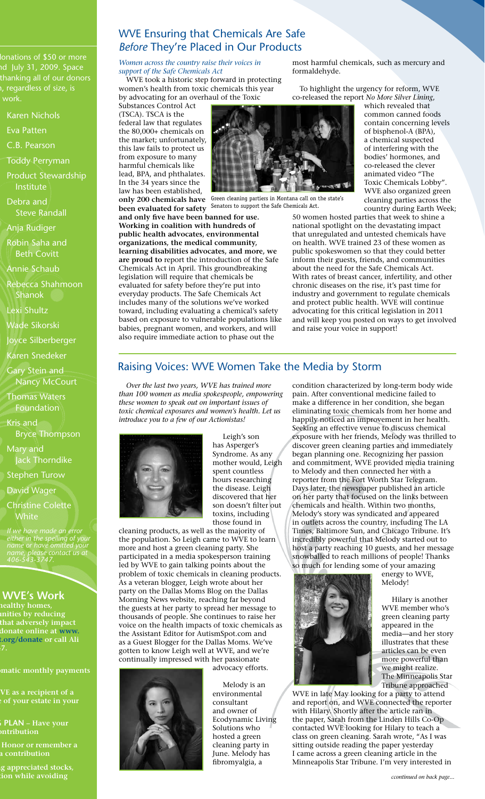lonations of \$50 or more d July 31, 2009. Space thanking all of our donors  $\overline{a}$ , regardless of size, is work.

Karen Nichols

Eva Patten

C.B. Pearson

Toddy Perryman

Product Stewardship Institute

Debra and Steve Randall

Anja Rudiger

Robin Saha and Beth Covitt

Annie Schaub

Rebecca Shahmoon Shanok

Lexi Shultz

Wade Sikorski

Joyce Silberberger

Karen Snedeker

Gary Stein and Nancy McCourt

Thomas Waters Foundation

Kris and Bryce Thompson

Mary and

Jack Thorndike Stephen Turow

David Wager

Christine Colette White

*If we have made an error either in the spelling of your name or have omitted your name, please contact us at 406-543-3747.*

**WVE's Work** 

**Tealthy homes, which by reducing that adversely impact** donate online at www. **womenandensie or call Ali** 

**Comatic monthly payments** 

**WE** as a recipient of a **c** of your estate in your

> **PLAN** – Have your **entribution**

**Tribute/Memorial – Honor or remember a special individual with a contribution**

**Stock – By contributing appreciated stocks, yourge is so to so that** ion while avoiding

# WVE Ensuring that Chemicals Are Safe *Before* They're Placed in Our Products

*Women across the country raise their voices in support of the Safe Chemicals Act*

WVE took a historic step forward in protecting women's health from toxic chemicals this year by advocating for an overhaul of the Toxic

Substances Control Act (TSCA). TSCA is the federal law that regulates the 80,000+ chemicals on the market; unfortunately, this law fails to protect us from exposure to many harmful chemicals like lead, BPA, and phthalates. In the 34 years since the law has been established,

**been evaluated for safety**  Senators to support the Safe Chemicals Act.

**and only five have been banned for use. Working in coalition with hundreds of public health advocates, environmental organizations, the medical community, learning disabilities advocates, and more, we are proud to** report the introduction of the Safe Chemicals Act in April. This groundbreaking legislation will require that chemicals be evaluated for safety before they're put into everyday products. The Safe Chemicals Act includes many of the solutions we've worked toward, including evaluating a chemical's safety based on exposure to vulnerable populations like babies, pregnant women, and workers, and will also require immediate action to phase out the

most harmful chemicals, such as mercury and formaldehyde.

To highlight the urgency for reform, WVE co-released the report *No More Silver Lining*,

which revealed that common canned foods contain concerning levels of bisphenol-A (BPA), a chemical suspected of interfering with the bodies' hormones, and co-released the clever animated video "The Toxic Chemicals Lobby". WVE also organized green cleaning parties across the country during Earth Week;

50 women hosted parties that week to shine a national spotlight on the devastating impact that unregulated and untested chemicals have on health. WVE trained 23 of these women as public spokeswomen so that they could better inform their guests, friends, and communities about the need for the Safe Chemicals Act. With rates of breast cancer, infertility, and other chronic diseases on the rise, it's past time for industry and government to regulate chemicals and protect public health. WVE will continue advocating for this critical legislation in 2011 and will keep you posted on ways to get involved and raise your voice in support!

# Raising Voices: WVE Women Take the Media by Storm

*Over the last two years, WVE has trained more than 100 women as media spokespeople, empowering these women to speak out on important issues of toxic chemical exposures and women's health. Let us introduce you to a few of our Actionistas!* 



 Leigh's son has Asperger's Syndrome. As any mother would, Leigh spent countless hours researching the disease. Leigh discovered that her son doesn't filter out toxins, including those found in

cleaning products, as well as the majority of the population. So Leigh came to WVE to learn more and host a green cleaning party. She participated in a media spokesperson training led by WVE to gain talking points about the problem of toxic chemicals in cleaning products. As a veteran blogger, Leigh wrote about her party on the Dallas Moms Blog on the Dallas Morning News website, reaching far beyond the guests at her party to spread her message to thousands of people. She continues to raise her voice on the health impacts of toxic chemicals as the Assistant Editor for AutismSpot.com and as a Guest Blogger for the Dallas Moms. We've gotten to know Leigh well at WVE, and we're continually impressed with her passionate advocacy efforts.



 Melody is an environmental consultant and owner of Ecodynamic Living Solutions who hosted a green cleaning party in June. Melody has fibromyalgia, a

condition characterized by long-term body wide pain. After conventional medicine failed to make a difference in her condition, she began eliminating toxic chemicals from her home and happily noticed an improvement in her health. Seeking an effective venue to discuss chemical exposure with her friends, Melody was thrilled to discover green cleaning parties and immediately began planning one. Recognizing her passion and commitment, WVE provided media training to Melody and then connected her with a reporter from the Fort Worth Star Telegram. Days later, the newspaper published an article on her party that focused on the links between chemicals and health. Within two months, Melody's story was syndicated and appeared in outlets across the country, including The LA Times, Baltimore Sun, and Chicago Tribune. It's incredibly powerful that Melody started out to host a party reaching 10 guests, and her message snowballed to reach millions of people! Thanks so much for lending some of your amazing



energy to WVE, Melody!

 Hilary is another WVE member who's green cleaning party appeared in the media—and her story illustrates that these articles can be even more powerful than we might realize. The Minneapolis Star Tribune approached

WVE in late May looking for a party to attend and report on, and WVE connected the reporter with Hilary. Shortly after the article ran in the paper, Sarah from the Linden Hills Co-Op contacted WVE looking for Hilary to teach a class on green cleaning. Sarah wrote, "As I was sitting outside reading the paper yesterday I came across a green cleaning article in the Minneapolis Star Tribune. I'm very interested in



**only 200 chemicals have**  Green cleaning partiers in Montana call on the state's